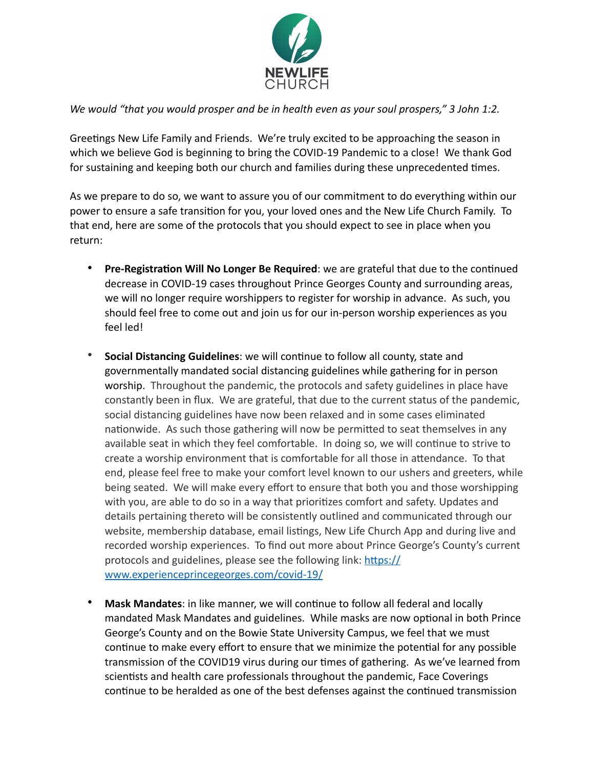

*We would "that you would prosper and be in health even as your soul prospers," 3 John 1:2.* 

Greetings New Life Family and Friends. We're truly excited to be approaching the season in which we believe God is beginning to bring the COVID-19 Pandemic to a close! We thank God for sustaining and keeping both our church and families during these unprecedented times.

As we prepare to do so, we want to assure you of our commitment to do everything within our power to ensure a safe transition for you, your loved ones and the New Life Church Family. To that end, here are some of the protocols that you should expect to see in place when you return:

- Pre-Registration Will No Longer Be Required: we are grateful that due to the continued decrease in COVID-19 cases throughout Prince Georges County and surrounding areas, we will no longer require worshippers to register for worship in advance. As such, you should feel free to come out and join us for our in-person worship experiences as you feel led!
- **Social Distancing Guidelines**: we will continue to follow all county, state and governmentally mandated social distancing guidelines while gathering for in person worship. Throughout the pandemic, the protocols and safety guidelines in place have constantly been in flux. We are grateful, that due to the current status of the pandemic, social distancing guidelines have now been relaxed and in some cases eliminated nationwide. As such those gathering will now be permitted to seat themselves in any available seat in which they feel comfortable. In doing so, we will continue to strive to create a worship environment that is comfortable for all those in attendance. To that end, please feel free to make your comfort level known to our ushers and greeters, while being seated. We will make every effort to ensure that both you and those worshipping with you, are able to do so in a way that prioritizes comfort and safety. Updates and details pertaining thereto will be consistently outlined and communicated through our website, membership database, email listings, New Life Church App and during live and recorded worship experiences. To find out more about Prince George's County's current protocols and guidelines, please see the following link: https:// [www.experienceprincegeorges.com/covid-19/](https://www.experienceprincegeorges.com/covid-19/)
- Mask Mandates: in like manner, we will continue to follow all federal and locally mandated Mask Mandates and guidelines. While masks are now optional in both Prince George's County and on the Bowie State University Campus, we feel that we must continue to make every effort to ensure that we minimize the potential for any possible transmission of the COVID19 virus during our times of gathering. As we've learned from scientists and health care professionals throughout the pandemic, Face Coverings continue to be heralded as one of the best defenses against the continued transmission